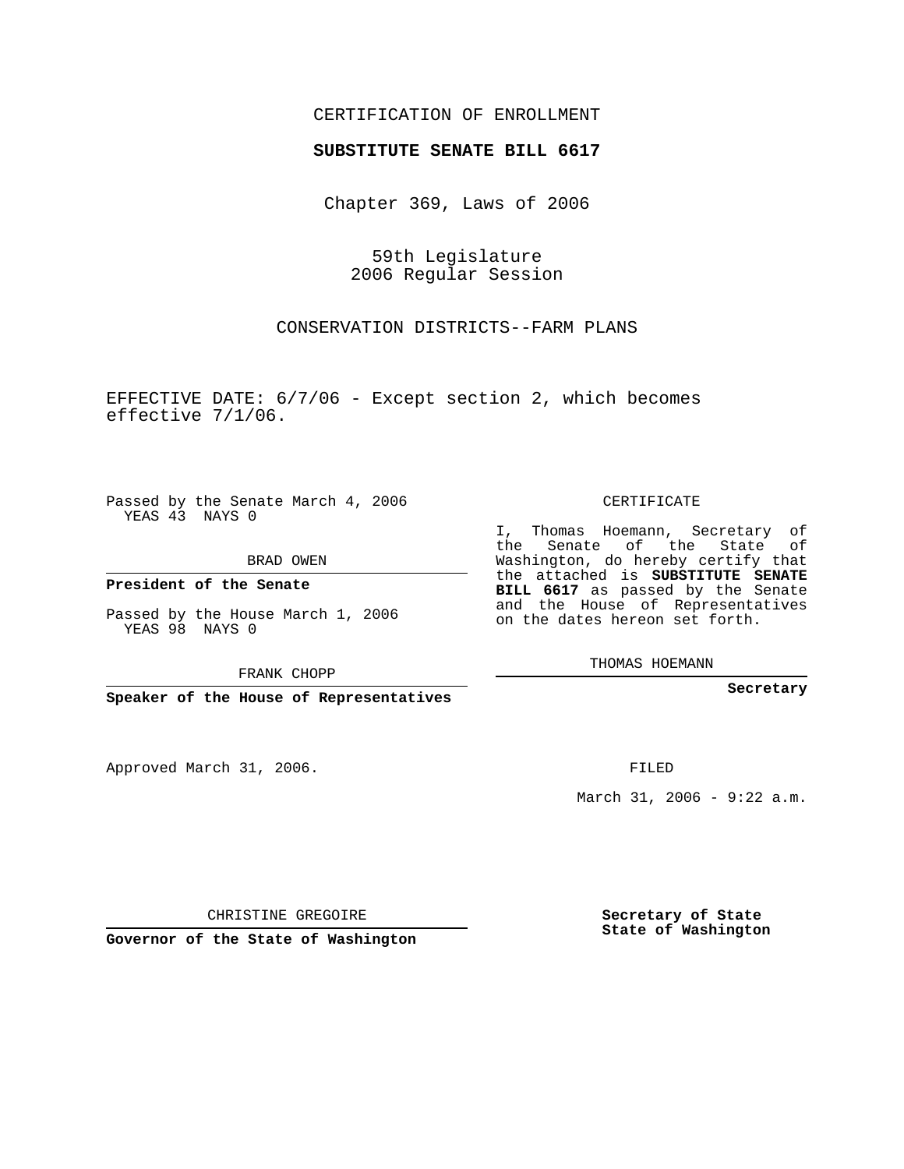## CERTIFICATION OF ENROLLMENT

## **SUBSTITUTE SENATE BILL 6617**

Chapter 369, Laws of 2006

59th Legislature 2006 Regular Session

CONSERVATION DISTRICTS--FARM PLANS

EFFECTIVE DATE: 6/7/06 - Except section 2, which becomes effective 7/1/06.

Passed by the Senate March 4, 2006 YEAS 43 NAYS 0

BRAD OWEN

**President of the Senate**

Passed by the House March 1, 2006 YEAS 98 NAYS 0

FRANK CHOPP

**Speaker of the House of Representatives**

Approved March 31, 2006.

CERTIFICATE

I, Thomas Hoemann, Secretary of the Senate of the State Washington, do hereby certify that the attached is **SUBSTITUTE SENATE BILL 6617** as passed by the Senate and the House of Representatives on the dates hereon set forth.

THOMAS HOEMANN

**Secretary**

FILED

March 31, 2006 - 9:22 a.m.

CHRISTINE GREGOIRE

**Governor of the State of Washington**

**Secretary of State State of Washington**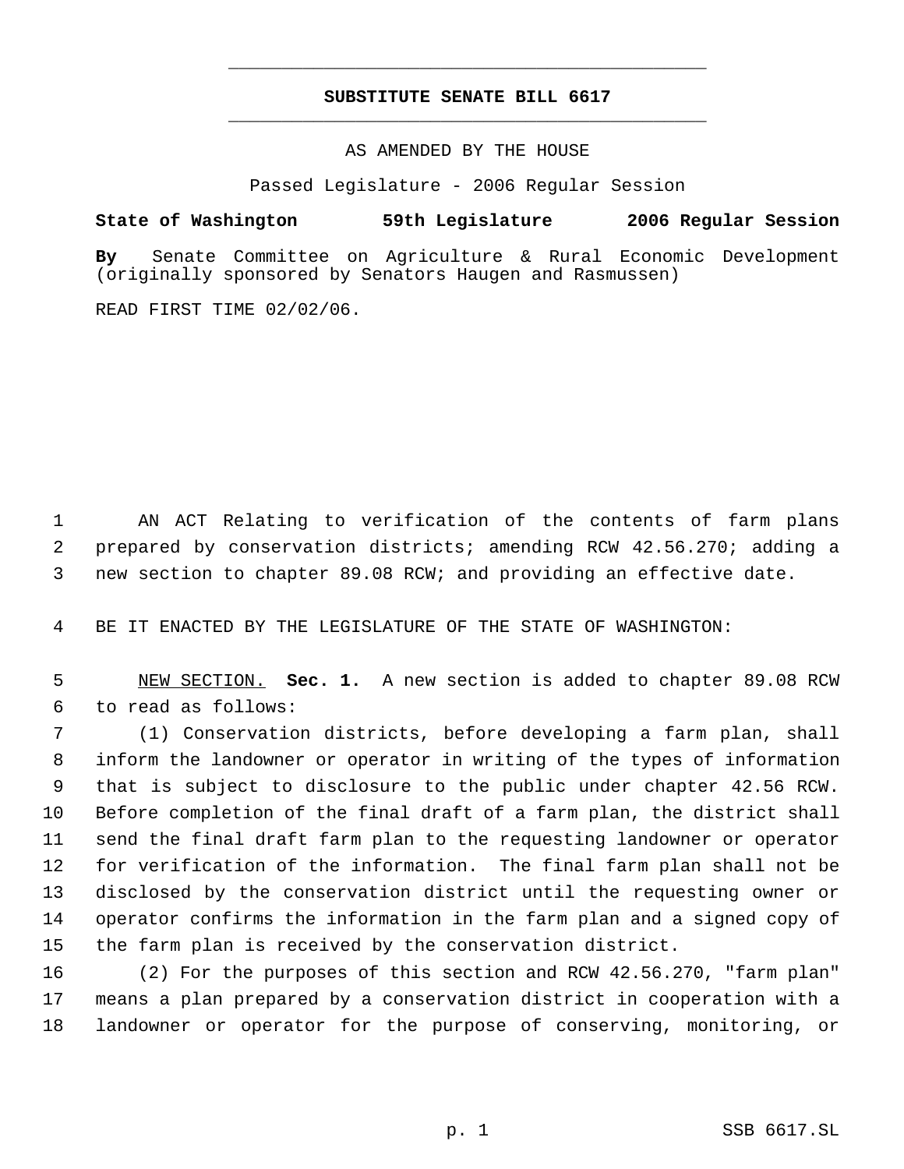## **SUBSTITUTE SENATE BILL 6617** \_\_\_\_\_\_\_\_\_\_\_\_\_\_\_\_\_\_\_\_\_\_\_\_\_\_\_\_\_\_\_\_\_\_\_\_\_\_\_\_\_\_\_\_\_

\_\_\_\_\_\_\_\_\_\_\_\_\_\_\_\_\_\_\_\_\_\_\_\_\_\_\_\_\_\_\_\_\_\_\_\_\_\_\_\_\_\_\_\_\_

AS AMENDED BY THE HOUSE

Passed Legislature - 2006 Regular Session

## **State of Washington 59th Legislature 2006 Regular Session**

**By** Senate Committee on Agriculture & Rural Economic Development (originally sponsored by Senators Haugen and Rasmussen)

READ FIRST TIME 02/02/06.

 AN ACT Relating to verification of the contents of farm plans prepared by conservation districts; amending RCW 42.56.270; adding a new section to chapter 89.08 RCW; and providing an effective date.

BE IT ENACTED BY THE LEGISLATURE OF THE STATE OF WASHINGTON:

 NEW SECTION. **Sec. 1.** A new section is added to chapter 89.08 RCW to read as follows:

 (1) Conservation districts, before developing a farm plan, shall inform the landowner or operator in writing of the types of information that is subject to disclosure to the public under chapter 42.56 RCW. Before completion of the final draft of a farm plan, the district shall send the final draft farm plan to the requesting landowner or operator for verification of the information. The final farm plan shall not be disclosed by the conservation district until the requesting owner or operator confirms the information in the farm plan and a signed copy of the farm plan is received by the conservation district.

 (2) For the purposes of this section and RCW 42.56.270, "farm plan" means a plan prepared by a conservation district in cooperation with a landowner or operator for the purpose of conserving, monitoring, or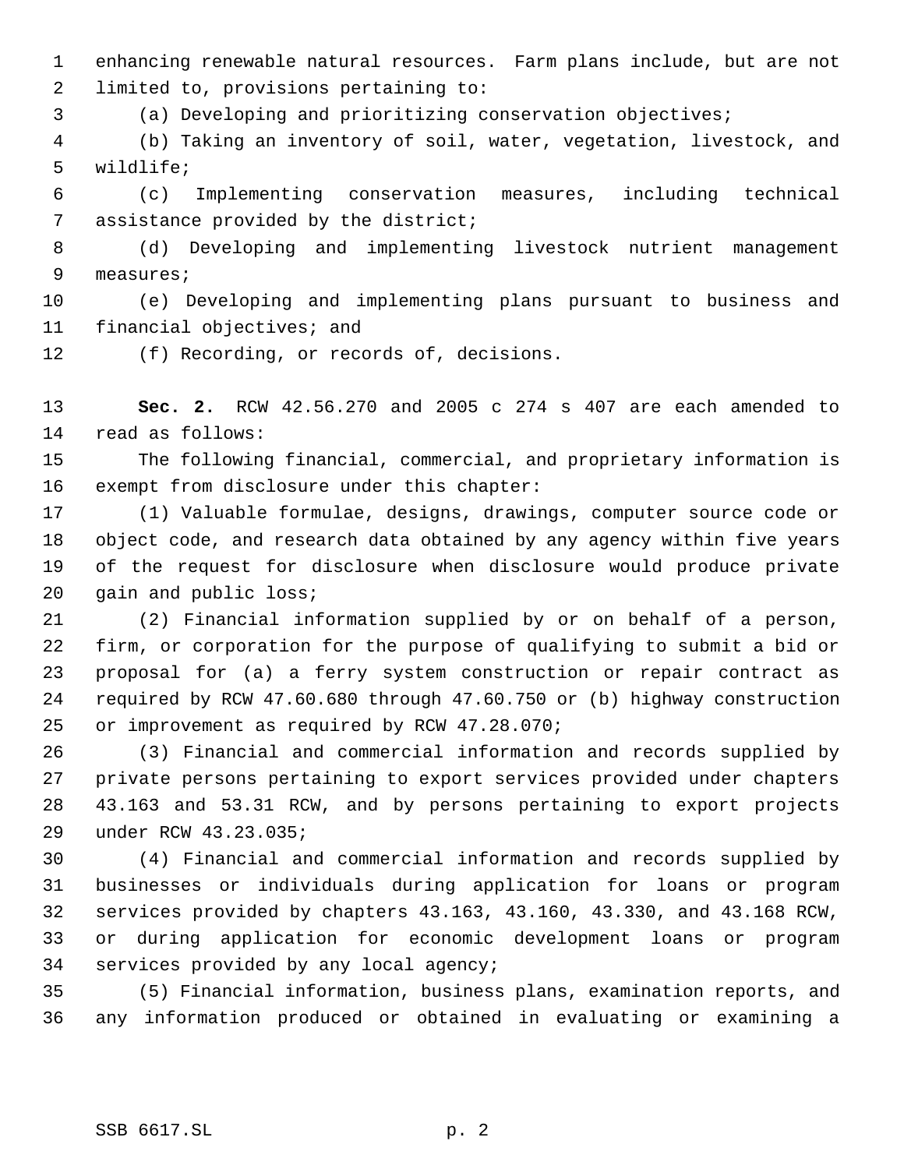enhancing renewable natural resources. Farm plans include, but are not limited to, provisions pertaining to:

(a) Developing and prioritizing conservation objectives;

 (b) Taking an inventory of soil, water, vegetation, livestock, and wildlife;

 (c) Implementing conservation measures, including technical assistance provided by the district;

 (d) Developing and implementing livestock nutrient management measures;

 (e) Developing and implementing plans pursuant to business and financial objectives; and

(f) Recording, or records of, decisions.

 **Sec. 2.** RCW 42.56.270 and 2005 c 274 s 407 are each amended to read as follows:

 The following financial, commercial, and proprietary information is exempt from disclosure under this chapter:

 (1) Valuable formulae, designs, drawings, computer source code or object code, and research data obtained by any agency within five years of the request for disclosure when disclosure would produce private 20 gain and public loss;

 (2) Financial information supplied by or on behalf of a person, firm, or corporation for the purpose of qualifying to submit a bid or proposal for (a) a ferry system construction or repair contract as required by RCW 47.60.680 through 47.60.750 or (b) highway construction or improvement as required by RCW 47.28.070;

 (3) Financial and commercial information and records supplied by private persons pertaining to export services provided under chapters 43.163 and 53.31 RCW, and by persons pertaining to export projects under RCW 43.23.035;

 (4) Financial and commercial information and records supplied by businesses or individuals during application for loans or program services provided by chapters 43.163, 43.160, 43.330, and 43.168 RCW, or during application for economic development loans or program services provided by any local agency;

 (5) Financial information, business plans, examination reports, and any information produced or obtained in evaluating or examining a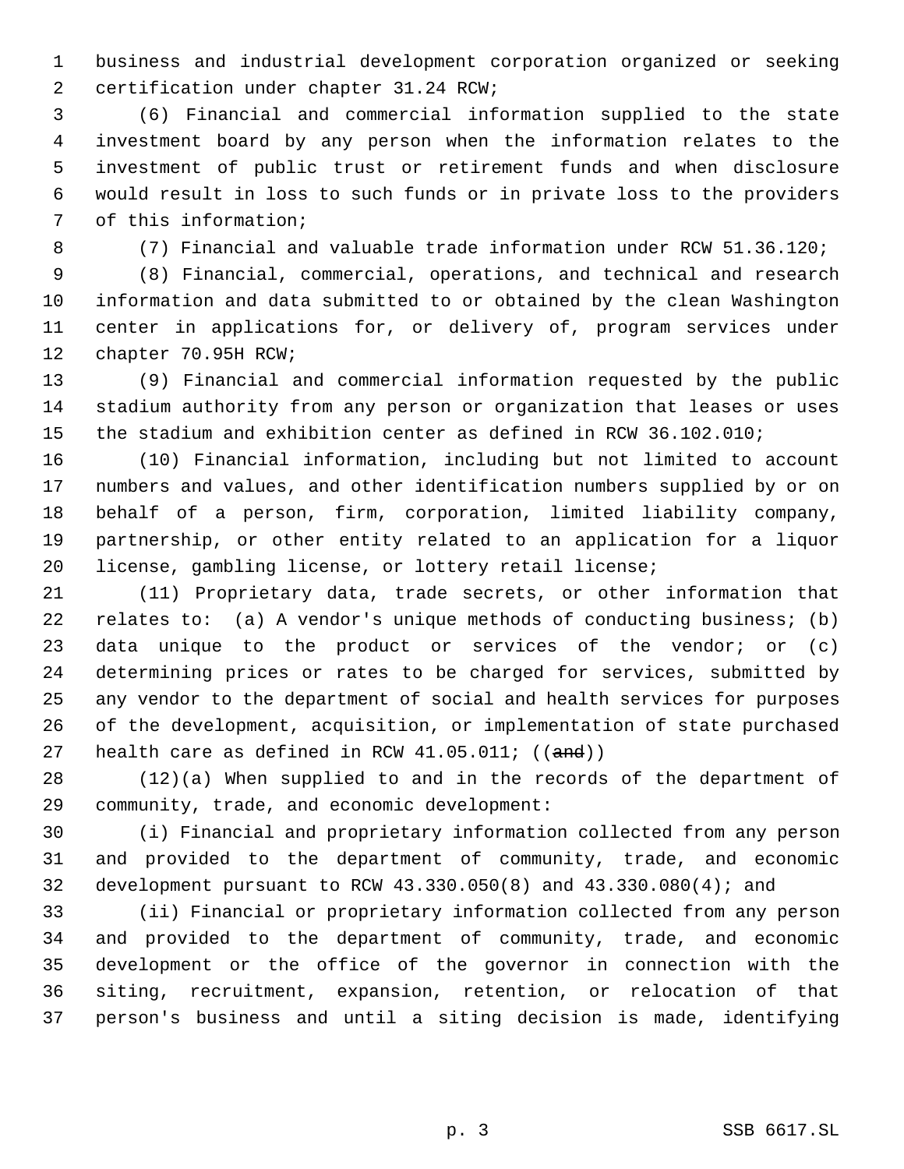business and industrial development corporation organized or seeking certification under chapter 31.24 RCW;

 (6) Financial and commercial information supplied to the state investment board by any person when the information relates to the investment of public trust or retirement funds and when disclosure would result in loss to such funds or in private loss to the providers of this information;

(7) Financial and valuable trade information under RCW 51.36.120;

 (8) Financial, commercial, operations, and technical and research information and data submitted to or obtained by the clean Washington center in applications for, or delivery of, program services under chapter 70.95H RCW;

 (9) Financial and commercial information requested by the public stadium authority from any person or organization that leases or uses the stadium and exhibition center as defined in RCW 36.102.010;

 (10) Financial information, including but not limited to account numbers and values, and other identification numbers supplied by or on behalf of a person, firm, corporation, limited liability company, partnership, or other entity related to an application for a liquor license, gambling license, or lottery retail license;

 (11) Proprietary data, trade secrets, or other information that relates to: (a) A vendor's unique methods of conducting business; (b) data unique to the product or services of the vendor; or (c) determining prices or rates to be charged for services, submitted by any vendor to the department of social and health services for purposes of the development, acquisition, or implementation of state purchased 27 health care as defined in RCW  $41.05.011$ ; ( $(\text{and})$ )

 (12)(a) When supplied to and in the records of the department of community, trade, and economic development:

 (i) Financial and proprietary information collected from any person and provided to the department of community, trade, and economic development pursuant to RCW 43.330.050(8) and 43.330.080(4); and

 (ii) Financial or proprietary information collected from any person and provided to the department of community, trade, and economic development or the office of the governor in connection with the siting, recruitment, expansion, retention, or relocation of that person's business and until a siting decision is made, identifying